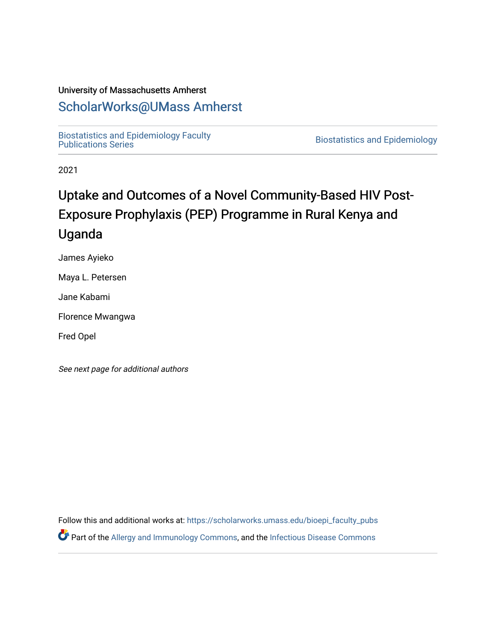## University of Massachusetts Amherst

# [ScholarWorks@UMass Amherst](https://scholarworks.umass.edu/)

[Biostatistics and Epidemiology Faculty](https://scholarworks.umass.edu/bioepi_faculty_pubs)

**Biostatistics and Epidemiology** 

2021

# Uptake and Outcomes of a Novel Community-Based HIV Post-Exposure Prophylaxis (PEP) Programme in Rural Kenya and Uganda

James Ayieko

Maya L. Petersen

Jane Kabami

Florence Mwangwa

Fred Opel

See next page for additional authors

Follow this and additional works at: [https://scholarworks.umass.edu/bioepi\\_faculty\\_pubs](https://scholarworks.umass.edu/bioepi_faculty_pubs?utm_source=scholarworks.umass.edu%2Fbioepi_faculty_pubs%2F32&utm_medium=PDF&utm_campaign=PDFCoverPages)  Part of the [Allergy and Immunology Commons](https://network.bepress.com/hgg/discipline/681?utm_source=scholarworks.umass.edu%2Fbioepi_faculty_pubs%2F32&utm_medium=PDF&utm_campaign=PDFCoverPages), and the [Infectious Disease Commons](https://network.bepress.com/hgg/discipline/689?utm_source=scholarworks.umass.edu%2Fbioepi_faculty_pubs%2F32&utm_medium=PDF&utm_campaign=PDFCoverPages)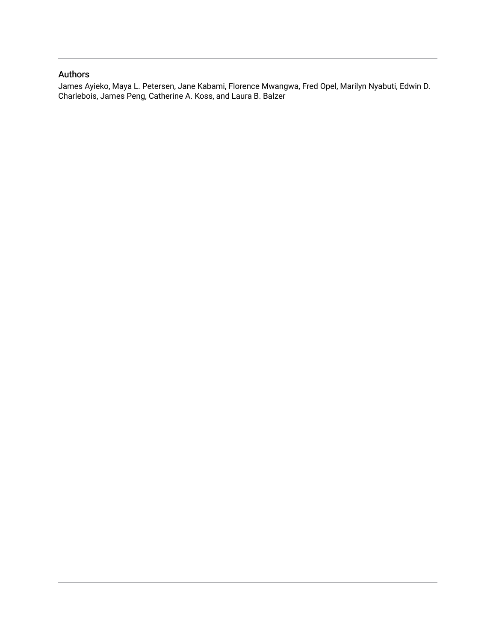# Authors

James Ayieko, Maya L. Petersen, Jane Kabami, Florence Mwangwa, Fred Opel, Marilyn Nyabuti, Edwin D. Charlebois, James Peng, Catherine A. Koss, and Laura B. Balzer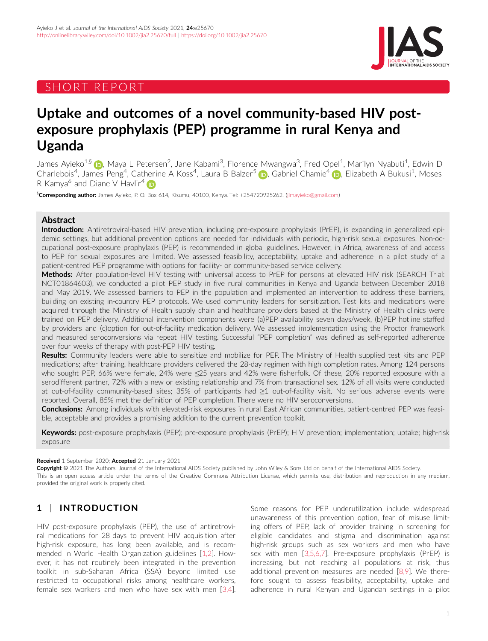# SHORT REPORT



# Uptake and outcomes of a novel community-based HIV postexposure prophylaxis (PEP) programme in rural Kenya and Uganda

James Ayieko<sup>1,[§](https://orcid.org/0000-0002-0324-4006)</sup> (**ip**, Maya L Petersen<sup>2</sup>, Jane Kabami<sup>3</sup>, Florence Mwangwa<sup>3</sup>, Fred Opel<sup>1</sup>, Marilyn Nyabuti<sup>1</sup>, Edwin D Charlebois<sup>4</sup>, James Peng<sup>4</sup>, Catherine A Koss<sup>4</sup>, Laura B Balzer<sup>[5](https://orcid.org/0000-0002-3730-410X)</sup> (D), Gabriel Chamie<sup>4</sup> (D), Elizabeth A Bukusi<sup>1</sup>, Moses R Kamya<sup>6</sup> and Diane V Havlir<sup>4</sup> in

<sup>§</sup>**Corresponding author:** James Ayieko, P. O. Box 614, Kisumu, 40100, Kenya. Tel: +254720925262. ([jimayieko@gmail.com](mailto:jimayieko@gmail.com))

### Abstract

Introduction: Antiretroviral-based HIV prevention, including pre-exposure prophylaxis (PrEP), is expanding in generalized epidemic settings, but additional prevention options are needed for individuals with periodic, high-risk sexual exposures. Non-occupational post-exposure prophylaxis (PEP) is recommended in global guidelines. However, in Africa, awareness of and access to PEP for sexual exposures are limited. We assessed feasibility, acceptability, uptake and adherence in a pilot study of a patient-centred PEP programme with options for facility- or community-based service delivery.

Methods: After population-level HIV testing with universal access to PrEP for persons at elevated HIV risk (SEARCH Trial: NCT01864603), we conducted a pilot PEP study in five rural communities in Kenya and Uganda between December 2018 and May 2019. We assessed barriers to PEP in the population and implemented an intervention to address these barriers, building on existing in-country PEP protocols. We used community leaders for sensitization. Test kits and medications were acquired through the Ministry of Health supply chain and healthcare providers based at the Ministry of Health clinics were trained on PEP delivery. Additional intervention components were (a)PEP availability seven days/week, (b)PEP hotline staffed by providers and (c)option for out-of-facility medication delivery. We assessed implementation using the Proctor framework and measured seroconversions via repeat HIV testing. Successful "PEP completion" was defined as self-reported adherence over four weeks of therapy with post-PEP HIV testing.

Results: Community leaders were able to sensitize and mobilize for PEP. The Ministry of Health supplied test kits and PEP medications; after training, healthcare providers delivered the 28-day regimen with high completion rates. Among 124 persons who sought PEP, 66% were female, 24% were ≤25 years and 42% were fisherfolk. Of these, 20% reported exposure with a serodifferent partner, 72% with a new or existing relationship and 7% from transactional sex. 12% of all visits were conducted at out-of-facility community-based sites; 35% of participants had ≥1 out-of-facility visit. No serious adverse events were reported. Overall, 85% met the definition of PEP completion. There were no HIV seroconversions.

Conclusions: Among individuals with elevated-risk exposures in rural East African communities, patient-centred PEP was feasible, acceptable and provides a promising addition to the current prevention toolkit.

Keywords: post-exposure prophylaxis (PEP); pre-exposure prophylaxis (PrEP); HIV prevention; implementation; uptake; high-risk exposure

#### Received 1 September 2020; Accepted 21 January 2021

Copyright © 2021 The Authors. Journal of the International AIDS Society published by John Wiley & Sons Ltd on behalf of the International AIDS Society. This is an open access article under the terms of the [Creative Commons Attribution](http://creativecommons.org/licenses/by/4.0/) License, which permits use, distribution and reproduction in any medium, provided the original work is properly cited.

# 1 | INTRODUCTION

HIV post-exposure prophylaxis (PEP), the use of antiretroviral medications for 28 days to prevent HIV acquisition after high-risk exposure, has long been available, and is recommended in World Health Organization guidelines [\[1,2](#page-6-0)]. However, it has not routinely been integrated in the prevention toolkit in sub-Saharan Africa (SSA) beyond limited use restricted to occupational risks among healthcare workers, female sex workers and men who have sex with men [\[3,4](#page-6-0)].

Some reasons for PEP underutilization include widespread unawareness of this prevention option, fear of misuse limiting offers of PEP, lack of provider training in screening for eligible candidates and stigma and discrimination against high-risk groups such as sex workers and men who have sex with men [\[3,5,6,7\]](#page-6-0). Pre-exposure prophylaxis (PrEP) is increasing, but not reaching all populations at risk, thus additional prevention measures are needed [[8,9\]](#page-6-0). We therefore sought to assess feasibility, acceptability, uptake and adherence in rural Kenyan and Ugandan settings in a pilot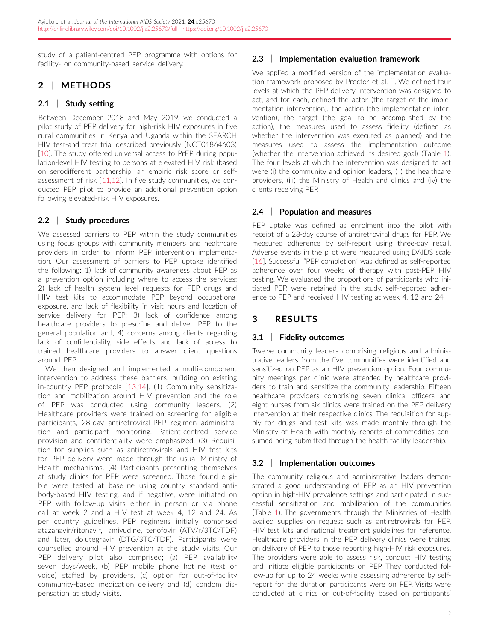study of a patient-centred PEP programme with options for facility- or community-based service delivery.

# 2 | METHODS

## 2.1 | Study setting

Between December 2018 and May 2019, we conducted a pilot study of PEP delivery for high-risk HIV exposures in five rural communities in Kenya and Uganda within the SEARCH HIV test-and treat trial described previously (NCT01864603) [\[10](#page-6-0)]. The study offered universal access to PrEP during population-level HIV testing to persons at elevated HIV risk (based on serodifferent partnership, an empiric risk score or selfassessment of risk [[11,12](#page-6-0)]. In five study communities, we conducted PEP pilot to provide an additional prevention option following elevated-risk HIV exposures.

## 2.2 | Study procedures

We assessed barriers to PEP within the study communities using focus groups with community members and healthcare providers in order to inform PEP intervention implementation. Our assessment of barriers to PEP uptake identified the following: 1) lack of community awareness about PEP as a prevention option including where to access the services; 2) lack of health system level requests for PEP drugs and HIV test kits to accommodate PEP beyond occupational exposure, and lack of flexibility in visit hours and location of service delivery for PEP; 3) lack of confidence among healthcare providers to prescribe and deliver PEP to the general population and, 4) concerns among clients regarding lack of confidentiality, side effects and lack of access to trained healthcare providers to answer client questions around PEP.

We then designed and implemented a multi-component intervention to address these barriers, building on existing in-country PEP protocols [[13,14\]](#page-6-0). (1) Community sensitization and mobilization around HIV prevention and the role of PEP was conducted using community leaders. (2) Healthcare providers were trained on screening for eligible participants, 28-day antiretroviral-PEP regimen administration and participant monitoring. Patient-centred service provision and confidentiality were emphasized. (3) Requisition for supplies such as antiretrovirals and HIV test kits for PEP delivery were made through the usual Ministry of Health mechanisms. (4) Participants presenting themselves at study clinics for PEP were screened. Those found eligible were tested at baseline using country standard antibody-based HIV testing, and if negative, were initiated on PEP with follow-up visits either in person or via phone call at week 2 and a HIV test at week 4, 12 and 24. As per country guidelines, PEP regimens initially comprised atazanavir/ritonavir, lamivudine, tenofovir (ATV/r/3TC/TDF) and later, dolutegravir (DTG/3TC/TDF). Participants were counselled around HIV prevention at the study visits. Our PEP delivery pilot also comprised; (a) PEP availability seven days/week, (b) PEP mobile phone hotline (text or voice) staffed by providers, (c) option for out-of-facility community-based medication delivery and (d) condom dispensation at study visits.

## 2.3 | Implementation evaluation framework

We applied a modified version of the implementation evaluation framework proposed by Proctor et al. []. We defined four levels at which the PEP delivery intervention was designed to act, and for each, defined the actor (the target of the implementation intervention), the action (the implementation intervention), the target (the goal to be accomplished by the action), the measures used to assess fidelity (defined as whether the intervention was executed as planned) and the measures used to assess the implementation outcome (whether the intervention achieved its desired goal) (Table [1](#page-4-0)). The four levels at which the intervention was designed to act were (i) the community and opinion leaders, (ii) the healthcare providers, (iii) the Ministry of Health and clinics and (iv) the clients receiving PEP.

## 2.4 | Population and measures

PEP uptake was defined as enrolment into the pilot with receipt of a 28-day course of antiretroviral drugs for PEP. We measured adherence by self-report using three-day recall. Adverse events in the pilot were measured using DAIDS scale [\[16\]](#page-6-0). Successful "PEP completion" was defined as self-reported adherence over four weeks of therapy with post-PEP HIV testing. We evaluated the proportions of participants who initiated PEP, were retained in the study, self-reported adherence to PEP and received HIV testing at week 4, 12 and 24.

# 3 | RESULTS

## 3.1 | Fidelity outcomes

Twelve community leaders comprising religious and administrative leaders from the five communities were identified and sensitized on PEP as an HIV prevention option. Four community meetings per clinic were attended by healthcare providers to train and sensitize the community leadership. Fifteen healthcare providers comprising seven clinical officers and eight nurses from six clinics were trained on the PEP delivery intervention at their respective clinics. The requisition for supply for drugs and test kits was made monthly through the Ministry of Health with monthly reports of commodities consumed being submitted through the health facility leadership.

## 3.2 | Implementation outcomes

The community religious and administrative leaders demonstrated a good understanding of PEP as an HIV prevention option in high-HIV prevalence settings and participated in successful sensitization and mobilization of the communities (Table [1\)](#page-4-0). The governments through the Ministries of Health availed supplies on request such as antiretrovirals for PEP, HIV test kits and national treatment guidelines for reference. Healthcare providers in the PEP delivery clinics were trained on delivery of PEP to those reporting high-HIV risk exposures. The providers were able to assess risk, conduct HIV testing and initiate eligible participants on PEP. They conducted follow-up for up to 24 weeks while assessing adherence by selfreport for the duration participants were on PEP. Visits were conducted at clinics or out-of-facility based on participants'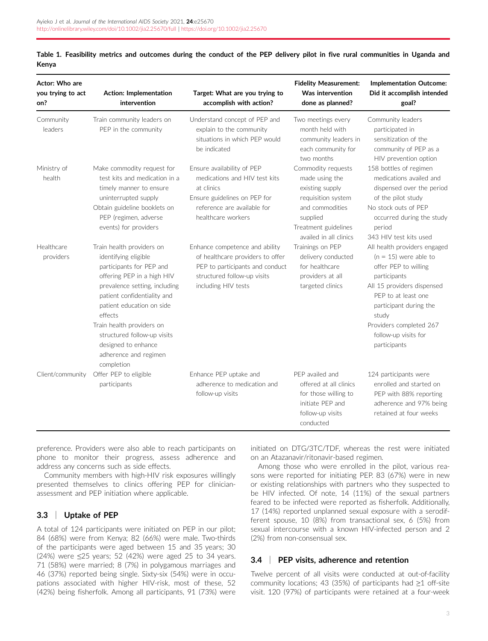| Actor: Who are<br>you trying to act<br>on? | <b>Action: Implementation</b><br>intervention                                                                                                                                                                                                                                                                                                 | Target: What are you trying to<br>accomplish with action?                                                                                                      | <b>Fidelity Measurement:</b><br>Was intervention<br>done as planned?                                                                                           | <b>Implementation Outcome:</b><br>Did it accomplish intended<br>goal?                                                                                                                                                                                      |
|--------------------------------------------|-----------------------------------------------------------------------------------------------------------------------------------------------------------------------------------------------------------------------------------------------------------------------------------------------------------------------------------------------|----------------------------------------------------------------------------------------------------------------------------------------------------------------|----------------------------------------------------------------------------------------------------------------------------------------------------------------|------------------------------------------------------------------------------------------------------------------------------------------------------------------------------------------------------------------------------------------------------------|
| Community<br>leaders                       | Train community leaders on<br>PEP in the community                                                                                                                                                                                                                                                                                            | Understand concept of PEP and<br>explain to the community<br>situations in which PEP would<br>be indicated                                                     | Two meetings every<br>month held with<br>community leaders in<br>each community for<br>two months                                                              | Community leaders<br>participated in<br>sensitization of the<br>community of PEP as a<br>HIV prevention option                                                                                                                                             |
| Ministry of<br>health                      | Make commodity request for<br>test kits and medication in a<br>timely manner to ensure<br>uninterrupted supply<br>Obtain guideline booklets on<br>PEP (regimen, adverse<br>events) for providers                                                                                                                                              | Ensure availability of PEP<br>medications and HIV test kits<br>at clinics<br>Ensure guidelines on PEP for<br>reference are available for<br>healthcare workers | Commodity requests<br>made using the<br>existing supply<br>requisition system<br>and commodities<br>supplied<br>Treatment guidelines<br>availed in all clinics | 158 bottles of regimen<br>medications availed and<br>dispensed over the period<br>of the pilot study<br>No stock outs of PFP<br>occurred during the study<br>period<br>343 HIV test kits used                                                              |
| Healthcare<br>providers                    | Train health providers on<br>identifying eligible<br>participants for PEP and<br>offering PEP in a high HIV<br>prevalence setting, including<br>patient confidentiality and<br>patient education on side<br>effects<br>Train health providers on<br>structured follow-up visits<br>designed to enhance<br>adherence and regimen<br>completion | Enhance competence and ability<br>of healthcare providers to offer<br>PEP to participants and conduct<br>structured follow-up visits<br>including HIV tests    | Trainings on PEP<br>delivery conducted<br>for healthcare<br>providers at all<br>targeted clinics                                                               | All health providers engaged<br>$(n = 15)$ were able to<br>offer PEP to willing<br>participants<br>All 15 providers dispensed<br>PFP to at least one<br>participant during the<br>study<br>Providers completed 267<br>follow-up visits for<br>participants |
| Client/community                           | Offer PEP to eligible<br>participants                                                                                                                                                                                                                                                                                                         | Enhance PEP uptake and<br>adherence to medication and<br>follow-up visits                                                                                      | PFP availed and<br>offered at all clinics<br>for those willing to<br>initiate PEP and<br>follow-up visits<br>conducted                                         | 124 participants were<br>enrolled and started on<br>PEP with 88% reporting<br>adherence and 97% being<br>retained at four weeks                                                                                                                            |

<span id="page-4-0"></span>Table 1. Feasibility metrics and outcomes during the conduct of the PEP delivery pilot in five rural communities in Uganda and Kenya

preference. Providers were also able to reach participants on phone to monitor their progress, assess adherence and address any concerns such as side effects.

Community members with high-HIV risk exposures willingly presented themselves to clinics offering PEP for clinicianassessment and PEP initiation where applicable.

### 3.3 | Uptake of PEP

A total of 124 participants were initiated on PEP in our pilot; 84 (68%) were from Kenya; 82 (66%) were male. Two-thirds of the participants were aged between 15 and 35 years; 30 (24%) were ≤25 years; 52 (42%) were aged 25 to 34 years. 71 (58%) were married; 8 (7%) in polygamous marriages and 46 (37%) reported being single. Sixty-six (54%) were in occupations associated with higher HIV-risk, most of these, 52 (42%) being fisherfolk. Among all participants, 91 (73%) were initiated on DTG/3TC/TDF, whereas the rest were initiated on an Atazanavir/ritonavir-based regimen.

Among those who were enrolled in the pilot, various reasons were reported for initiating PEP. 83 (67%) were in new or existing relationships with partners who they suspected to be HIV infected. Of note, 14 (11%) of the sexual partners feared to be infected were reported as fisherfolk. Additionally, 17 (14%) reported unplanned sexual exposure with a serodifferent spouse, 10 (8%) from transactional sex, 6 (5%) from sexual intercourse with a known HIV-infected person and 2 (2%) from non-consensual sex.

### 3.4 | PEP visits, adherence and retention

Twelve percent of all visits were conducted at out-of-facility community locations; 43 (35%) of participants had ≥1 off-site visit. 120 (97%) of participants were retained at a four-week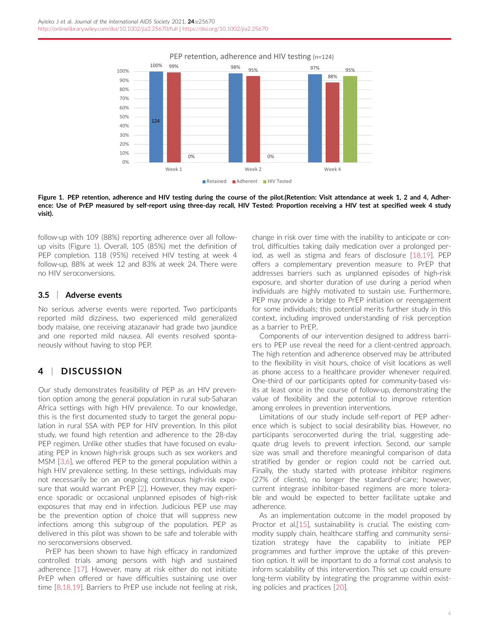

#### PEP retention, adherence and HIV testing (n=124)

Figure 1. PEP retention, adherence and HIV testing during the course of the pilot.(Retention: Visit attendance at week 1, 2 and 4, Adherence: Use of PrEP measured by self-report using three-day recall, HIV Tested: Proportion receiving a HIV test at specified week 4 study visit).

follow-up with 109 (88%) reporting adherence over all followup visits (Figure 1). Overall, 105 (85%) met the definition of PEP completion. 118 (95%) received HIV testing at week 4 follow-up, 88% at week 12 and 83% at week 24. There were no HIV seroconversions.

#### 3.5 | Adverse events

No serious adverse events were reported. Two participants reported mild dizziness, two experienced mild generalized body malaise, one receiving atazanavir had grade two jaundice and one reported mild nausea. All events resolved spontaneously without having to stop PEP.

# 4 | DISCUSSION

Our study demonstrates feasibility of PEP as an HIV prevention option among the general population in rural sub-Saharan Africa settings with high HIV prevalence. To our knowledge, this is the first documented study to target the general population in rural SSA with PEP for HIV prevention. In this pilot study, we found high retention and adherence to the 28-day PEP regimen. Unlike other studies that have focused on evaluating PEP in known high-risk groups such as sex workers and MSM [\[3,6](#page-6-0)], we offered PEP to the general population within a high HIV prevalence setting. In these settings, individuals may not necessarily be on an ongoing continuous high-risk exposure that would warrant PrEP [[2](#page-6-0)]. However, they may experience sporadic or occasional unplanned episodes of high-risk exposures that may end in infection. Judicious PEP use may be the prevention option of choice that will suppress new infections among this subgroup of the population. PEP as delivered in this pilot was shown to be safe and tolerable with no seroconversions observed.

PrEP has been shown to have high efficacy in randomized controlled trials among persons with high and sustained adherence [\[17](#page-6-0)]. However, many at risk either do not initiate PrEP when offered or have difficulties sustaining use over time [\[8,18,19](#page-6-0)]. Barriers to PrEP use include not feeling at risk, change in risk over time with the inability to anticipate or control, difficulties taking daily medication over a prolonged period, as well as stigma and fears of disclosure [\[18,19\]](#page-6-0). PEP offers a complementary prevention measure to PrEP that addresses barriers such as unplanned episodes of high-risk exposure, and shorter duration of use during a period when individuals are highly motivated to sustain use. Furthermore, PEP may provide a bridge to PrEP initiation or reengagement for some individuals; this potential merits further study in this context, including improved understanding of risk perception as a barrier to PrEP..

Components of our intervention designed to address barriers to PEP use reveal the need for a client-centred approach. The high retention and adherence observed may be attributed to the flexibility in visit hours, choice of visit locations as well as phone access to a healthcare provider whenever required. One-third of our participants opted for community-based visits at least once in the course of follow-up, demonstrating the value of flexibility and the potential to improve retention among enrolees in prevention interventions.

Limitations of our study include self-report of PEP adherence which is subject to social desirability bias. However, no participants seroconverted during the trial, suggesting adequate drug levels to prevent infection. Second, our sample size was small and therefore meaningful comparison of data stratified by gender or region could not be carried out. Finally, the study started with protease inhibitor regimens (27% of clients), no longer the standard-of-care; however, current integrase inhibitor-based regimens are more tolerable and would be expected to better facilitate uptake and adherence.

As an implementation outcome in the model proposed by Proctor et al.[[15\]](#page-6-0), sustainability is crucial. The existing commodity supply chain, healthcare staffing and community sensitization strategy have the capability to initiate PEP programmes and further improve the uptake of this prevention option. It will be important to do a formal cost analysis to inform scalability of this intervention. This set up could ensure long-term viability by integrating the programme within existing policies and practices [[20\]](#page-6-0).